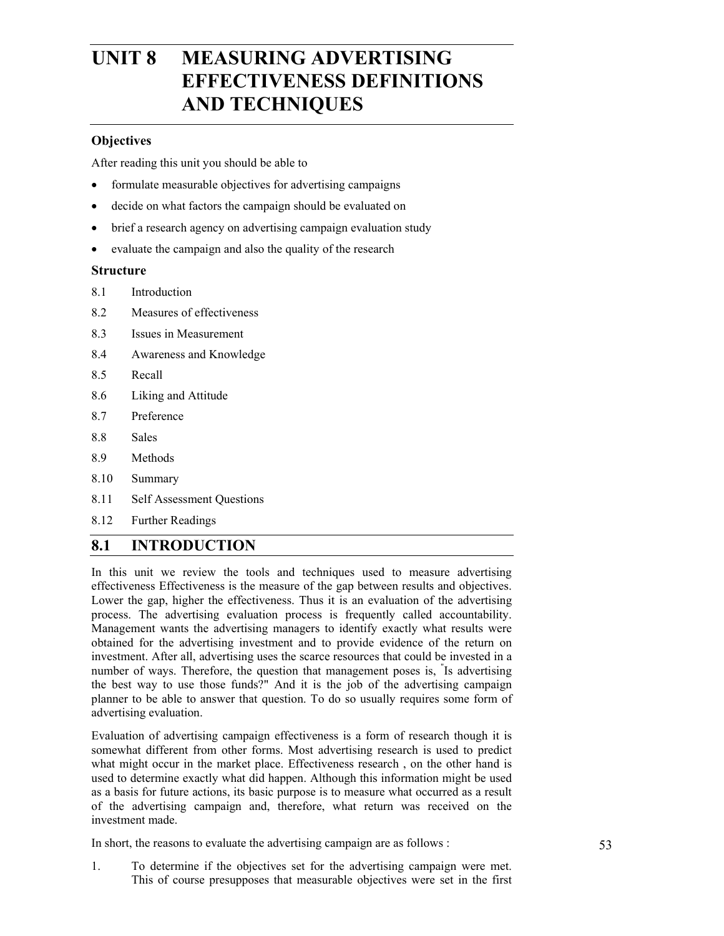# **UNIT 8 MEASURING ADVERTISING EFFECTIVENESS DEFINITIONS AND TECHNIQUES**

#### **Objectives**

After reading this unit you should be able to

- formulate measurable objectives for advertising campaigns
- decide on what factors the campaign should be evaluated on
- brief a research agency on advertising campaign evaluation study
- evaluate the campaign and also the quality of the research

#### **Structure**

- 8.1 Introduction
- 8.2 Measures of effectiveness
- 8.3 Issues in Measurement
- 8.4 Awareness and Knowledge
- 8.5 Recall
- 8.6 Liking and Attitude
- 8.7 Preference
- 8.8 Sales
- 8.9 Methods
- 8.10 Summary
- 8.11 Self Assessment Questions
- 8.12 Further Readings

# **8.1 INTRODUCTION**

In this unit we review the tools and techniques used to measure advertising effectiveness Effectiveness is the measure of the gap between results and objectives. Lower the gap, higher the effectiveness. Thus it is an evaluation of the advertising process. The advertising evaluation process is frequently called accountability. Management wants the advertising managers to identify exactly what results were obtained for the advertising investment and to provide evidence of the return on investment. After all, advertising uses the scarce resources that could be invested in a number of ways. Therefore, the question that management poses is, " Is advertising the best way to use those funds?" And it is the job of the advertising campaign planner to be able to answer that question. To do so usually requires some form of advertising evaluation.

Evaluation of advertising campaign effectiveness is a form of research though it is somewhat different from other forms. Most advertising research is used to predict what might occur in the market place. Effectiveness research , on the other hand is used to determine exactly what did happen. Although this information might be used as a basis for future actions, its basic purpose is to measure what occurred as a result of the advertising campaign and, therefore, what return was received on the investment made.

In short, the reasons to evaluate the advertising campaign are as follows :

1. To determine if the objectives set for the advertising campaign were met. This of course presupposes that measurable objectives were set in the first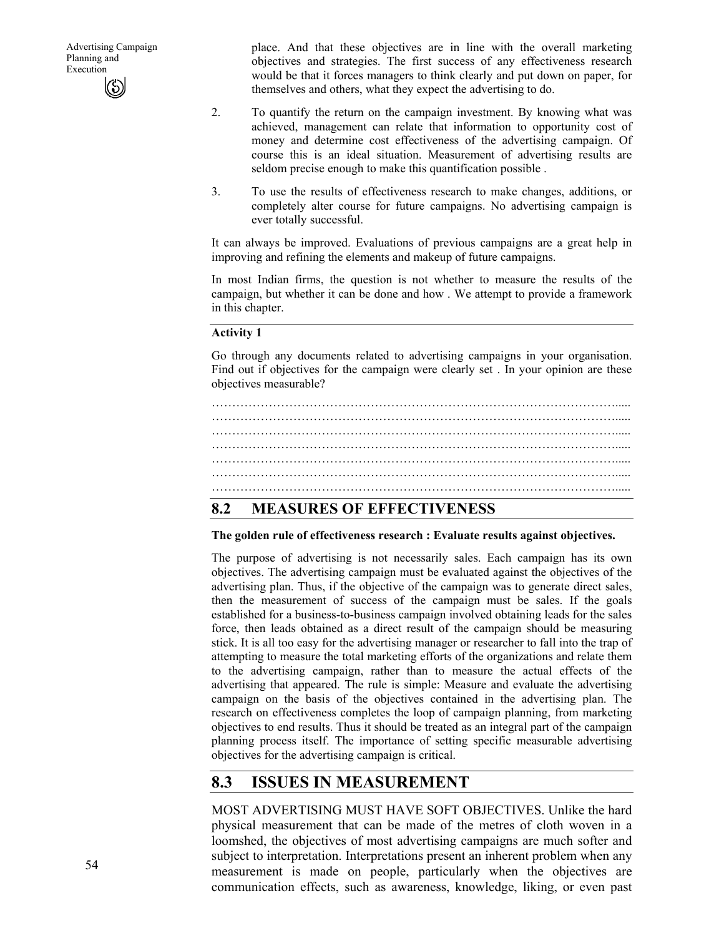place. And that these objectives are in line with the overall marketing objectives and strategies. The first success of any effectiveness research would be that it forces managers to think clearly and put down on paper, for themselves and others, what they expect the advertising to do.

- 2. To quantify the return on the campaign investment. By knowing what was achieved, management can relate that information to opportunity cost of money and determine cost effectiveness of the advertising campaign. Of course this is an ideal situation. Measurement of advertising results are seldom precise enough to make this quantification possible .
- 3. To use the results of effectiveness research to make changes, additions, or completely alter course for future campaigns. No advertising campaign is ever totally successful.

It can always be improved. Evaluations of previous campaigns are a great help in improving and refining the elements and makeup of future campaigns.

In most Indian firms, the question is not whether to measure the results of the campaign, but whether it can be done and how . We attempt to provide a framework in this chapter.

#### **Activity 1**

Go through any documents related to advertising campaigns in your organisation. Find out if objectives for the campaign were clearly set . In your opinion are these objectives measurable?



# **8.2 MEASURES OF EFFECTIVENESS**

#### **The golden rule of effectiveness research : Evaluate results against objectives.**

The purpose of advertising is not necessarily sales. Each campaign has its own objectives. The advertising campaign must be evaluated against the objectives of the advertising plan. Thus, if the objective of the campaign was to generate direct sales, then the measurement of success of the campaign must be sales. If the goals established for a business-to-business campaign involved obtaining leads for the sales force, then leads obtained as a direct result of the campaign should be measuring stick. It is all too easy for the advertising manager or researcher to fall into the trap of attempting to measure the total marketing efforts of the organizations and relate them to the advertising campaign, rather than to measure the actual effects of the advertising that appeared. The rule is simple: Measure and evaluate the advertising campaign on the basis of the objectives contained in the advertising plan. The research on effectiveness completes the loop of campaign planning, from marketing objectives to end results. Thus it should be treated as an integral part of the campaign planning process itself. The importance of setting specific measurable advertising objectives for the advertising campaign is critical.

# **8.3 ISSUES IN MEASUREMENT**

MOST ADVERTISING MUST HAVE SOFT OBJECTIVES. Unlike the hard physical measurement that can be made of the metres of cloth woven in a loomshed, the objectives of most advertising campaigns are much softer and subject to interpretation. Interpretations present an inherent problem when any measurement is made on people, particularly when the objectives are communication effects, such as awareness, knowledge, liking, or even past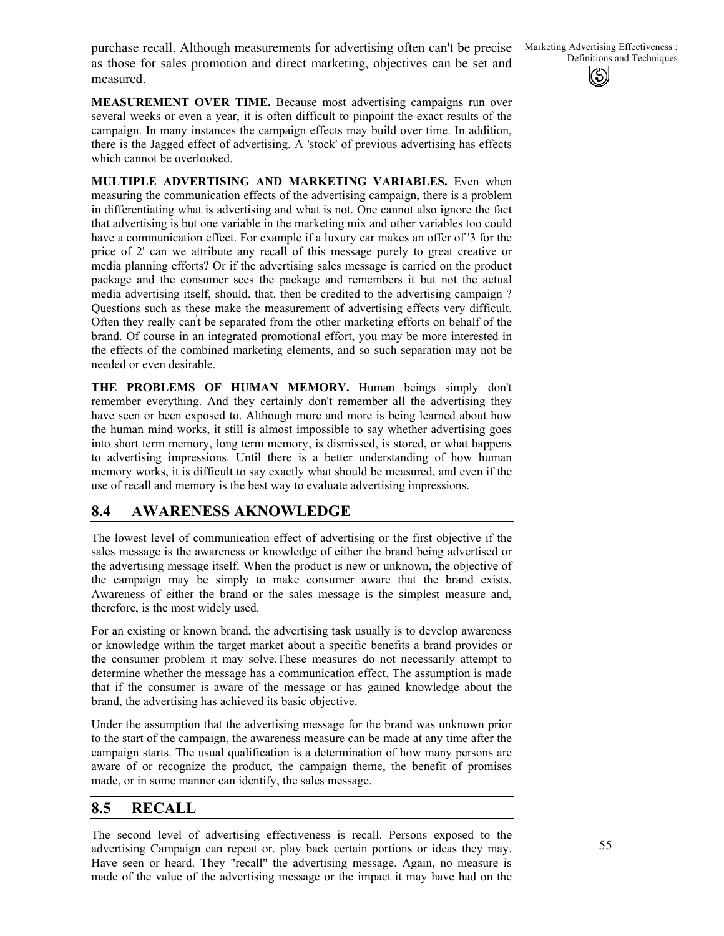purchase recall. Although measurements for advertising often can't be precise Marketing Advertising Effectiveness:<br>as these for sales promotion and direct marketing, objectives can be set and Definitions and Techniques as those for sales promotion and direct marketing, objectives can be set and measured.

**MEASUREMENT OVER TIME.** Because most advertising campaigns run over several weeks or even a year, it is often difficult to pinpoint the exact results of the campaign. In many instances the campaign effects may build over time. In addition, there is the Jagged effect of advertising. A 'stock' of previous advertising has effects which cannot be overlooked.

**MULTIPLE ADVERTISING AND MARKETING VARIABLES.** Even when measuring the communication effects of the advertising campaign, there is a problem in differentiating what is advertising and what is not. One cannot also ignore the fact that advertising is but one variable in the marketing mix and other variables too could have a communication effect. For example if a luxury car makes an offer of '3 for the price of 2' can we attribute any recall of this message purely to great creative or media planning efforts? Or if the advertising sales message is carried on the product package and the consumer sees the package and remembers it but not the actual media advertising itself, should. that. then be credited to the advertising campaign ? Questions such as these make the measurement of advertising effects very difficult. Often they really can't be separated from the other marketing efforts on behalf of the brand. Of course in an integrated promotional effort, you may be more interested in the effects of the combined marketing elements, and so such separation may not be needed or even desirable.

**THE PROBLEMS OF HUMAN MEMORY.** Human beings simply don't remember everything. And they certainly don't remember all the advertising they have seen or been exposed to. Although more and more is being learned about how the human mind works, it still is almost impossible to say whether advertising goes into short term memory, long term memory, is dismissed, is stored, or what happens to advertising impressions. Until there is a better understanding of how human memory works, it is difficult to say exactly what should be measured, and even if the use of recall and memory is the best way to evaluate advertising impressions.

#### **8.4 AWARENESS AKNOWLEDGE**

The lowest level of communication effect of advertising or the first objective if the sales message is the awareness or knowledge of either the brand being advertised or the advertising message itself. When the product is new or unknown, the objective of the campaign may be simply to make consumer aware that the brand exists. Awareness of either the brand or the sales message is the simplest measure and, therefore, is the most widely used.

For an existing or known brand, the advertising task usually is to develop awareness or knowledge within the target market about a specific benefits a brand provides or the consumer problem it may solve.These measures do not necessarily attempt to determine whether the message has a communication effect. The assumption is made that if the consumer is aware of the message or has gained knowledge about the brand, the advertising has achieved its basic objective.

Under the assumption that the advertising message for the brand was unknown prior to the start of the campaign, the awareness measure can be made at any time after the campaign starts. The usual qualification is a determination of how many persons are aware of or recognize the product, the campaign theme, the benefit of promises made, or in some manner can identify, the sales message.

#### **8.5 RECALL**

The second level of advertising effectiveness is recall. Persons exposed to the advertising Campaign can repeat or. play back certain portions or ideas they may. Have seen or heard. They "recall" the advertising message. Again, no measure is made of the value of the advertising message or the impact it may have had on the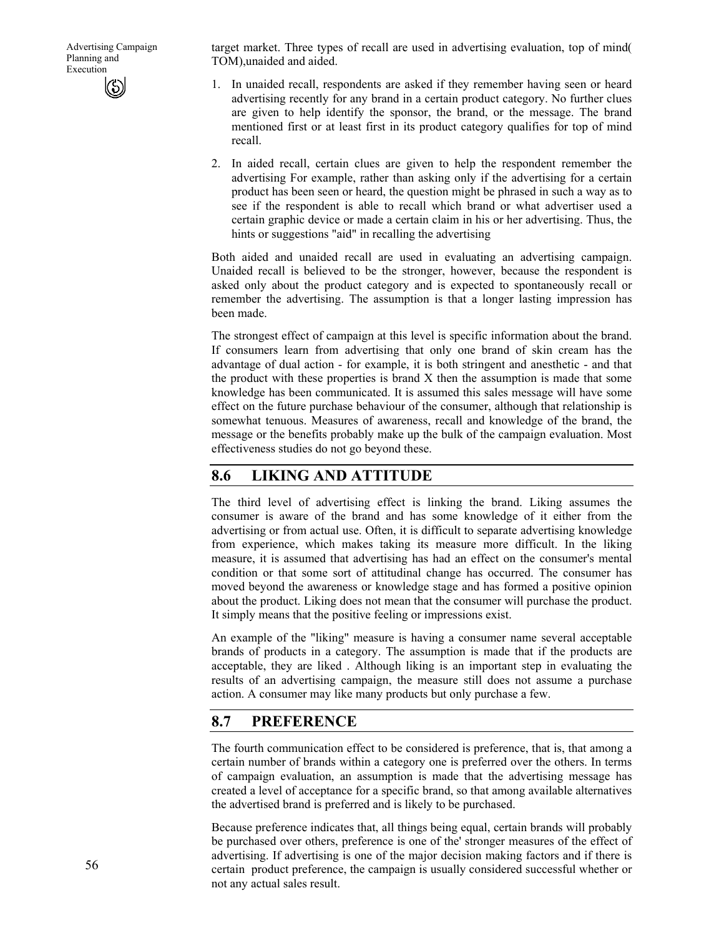target market. Three types of recall are used in advertising evaluation, top of mind( TOM),unaided and aided.

- 1. In unaided recall, respondents are asked if they remember having seen or heard advertising recently for any brand in a certain product category. No further clues are given to help identify the sponsor, the brand, or the message. The brand mentioned first or at least first in its product category qualifies for top of mind recall.
- 2. In aided recall, certain clues are given to help the respondent remember the advertising For example, rather than asking only if the advertising for a certain product has been seen or heard, the question might be phrased in such a way as to see if the respondent is able to recall which brand or what advertiser used a certain graphic device or made a certain claim in his or her advertising. Thus, the hints or suggestions "aid" in recalling the advertising

Both aided and unaided recall are used in evaluating an advertising campaign. Unaided recall is believed to be the stronger, however, because the respondent is asked only about the product category and is expected to spontaneously recall or remember the advertising. The assumption is that a longer lasting impression has been made.

The strongest effect of campaign at this level is specific information about the brand. If consumers learn from advertising that only one brand of skin cream has the advantage of dual action - for example, it is both stringent and anesthetic - and that the product with these properties is brand X then the assumption is made that some knowledge has been communicated. It is assumed this sales message will have some effect on the future purchase behaviour of the consumer, although that relationship is somewhat tenuous. Measures of awareness, recall and knowledge of the brand, the message or the benefits probably make up the bulk of the campaign evaluation. Most effectiveness studies do not go beyond these.

#### **8.6 LIKING AND ATTITUDE**

The third level of advertising effect is linking the brand. Liking assumes the consumer is aware of the brand and has some knowledge of it either from the advertising or from actual use. Often, it is difficult to separate advertising knowledge from experience, which makes taking its measure more difficult. In the liking measure, it is assumed that advertising has had an effect on the consumer's mental condition or that some sort of attitudinal change has occurred. The consumer has moved beyond the awareness or knowledge stage and has formed a positive opinion about the product. Liking does not mean that the consumer will purchase the product. It simply means that the positive feeling or impressions exist.

An example of the "liking" measure is having a consumer name several acceptable brands of products in a category. The assumption is made that if the products are acceptable, they are liked . Although liking is an important step in evaluating the results of an advertising campaign, the measure still does not assume a purchase action. A consumer may like many products but only purchase a few.

#### **8.7 PREFERENCE**

The fourth communication effect to be considered is preference, that is, that among a certain number of brands within a category one is preferred over the others. In terms of campaign evaluation, an assumption is made that the advertising message has created a level of acceptance for a specific brand, so that among available alternatives the advertised brand is preferred and is likely to be purchased.

Because preference indicates that, all things being equal, certain brands will probably be purchased over others, preference is one of the' stronger measures of the effect of advertising. If advertising is one of the major decision making factors and if there is certain product preference, the campaign is usually considered successful whether or not any actual sales result.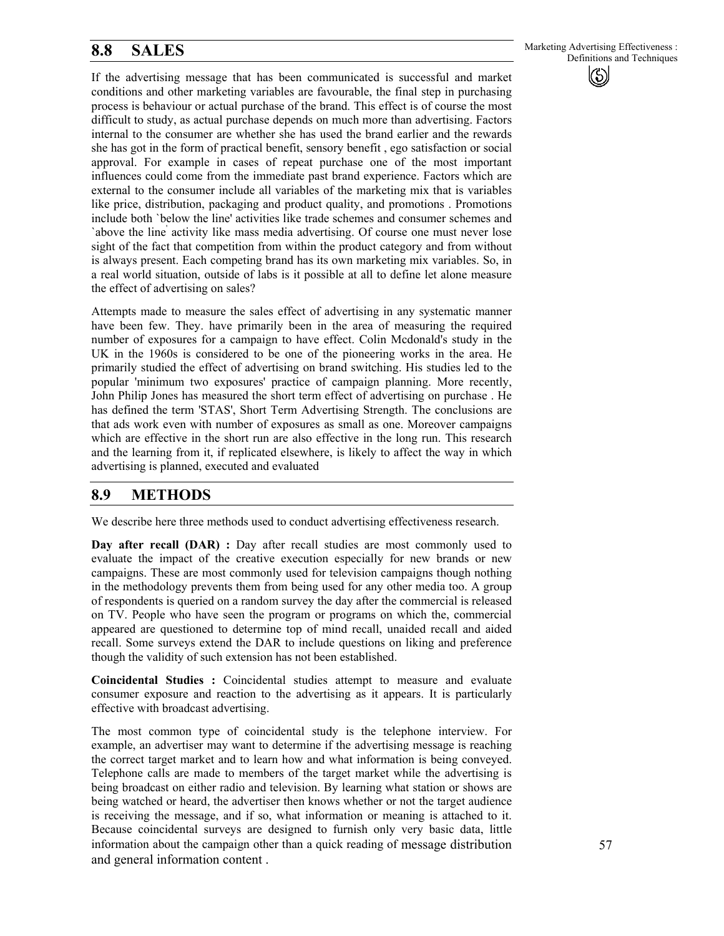If the advertising message that has been communicated is successful and market conditions and other marketing variables are favourable, the final step in purchasing process is behaviour or actual purchase of the brand. This effect is of course the most difficult to study, as actual purchase depends on much more than advertising. Factors internal to the consumer are whether she has used the brand earlier and the rewards she has got in the form of practical benefit, sensory benefit , ego satisfaction or social approval. For example in cases of repeat purchase one of the most important influences could come from the immediate past brand experience. Factors which are external to the consumer include all variables of the marketing mix that is variables like price, distribution, packaging and product quality, and promotions . Promotions include both `below the line' activities like trade schemes and consumer schemes and `above the line' activity like mass media advertising. Of course one must never lose sight of the fact that competition from within the product category and from without is always present. Each competing brand has its own marketing mix variables. So, in a real world situation, outside of labs is it possible at all to define let alone measure the effect of advertising on sales?

Attempts made to measure the sales effect of advertising in any systematic manner have been few. They. have primarily been in the area of measuring the required number of exposures for a campaign to have effect. Colin Mcdonald's study in the UK in the 1960s is considered to be one of the pioneering works in the area. He primarily studied the effect of advertising on brand switching. His studies led to the popular 'minimum two exposures' practice of campaign planning. More recently, John Philip Jones has measured the short term effect of advertising on purchase . He has defined the term 'STAS', Short Term Advertising Strength. The conclusions are that ads work even with number of exposures as small as one. Moreover campaigns which are effective in the short run are also effective in the long run. This research and the learning from it, if replicated elsewhere, is likely to affect the way in which advertising is planned, executed and evaluated

#### **8.9 METHODS**

We describe here three methods used to conduct advertising effectiveness research.

**Day after recall (DAR) :** Day after recall studies are most commonly used to evaluate the impact of the creative execution especially for new brands or new campaigns. These are most commonly used for television campaigns though nothing in the methodology prevents them from being used for any other media too. A group of respondents is queried on a random survey the day after the commercial is released on TV. People who have seen the program or programs on which the, commercial appeared are questioned to determine top of mind recall, unaided recall and aided recall. Some surveys extend the DAR to include questions on liking and preference though the validity of such extension has not been established.

**Coincidental Studies :** Coincidental studies attempt to measure and evaluate consumer exposure and reaction to the advertising as it appears. It is particularly effective with broadcast advertising.

The most common type of coincidental study is the telephone interview. For example, an advertiser may want to determine if the advertising message is reaching the correct target market and to learn how and what information is being conveyed. Telephone calls are made to members of the target market while the advertising is being broadcast on either radio and television. By learning what station or shows are being watched or heard, the advertiser then knows whether or not the target audience is receiving the message, and if so, what information or meaning is attached to it. Because coincidental surveys are designed to furnish only very basic data, little information about the campaign other than a quick reading of message distribution and general information content .

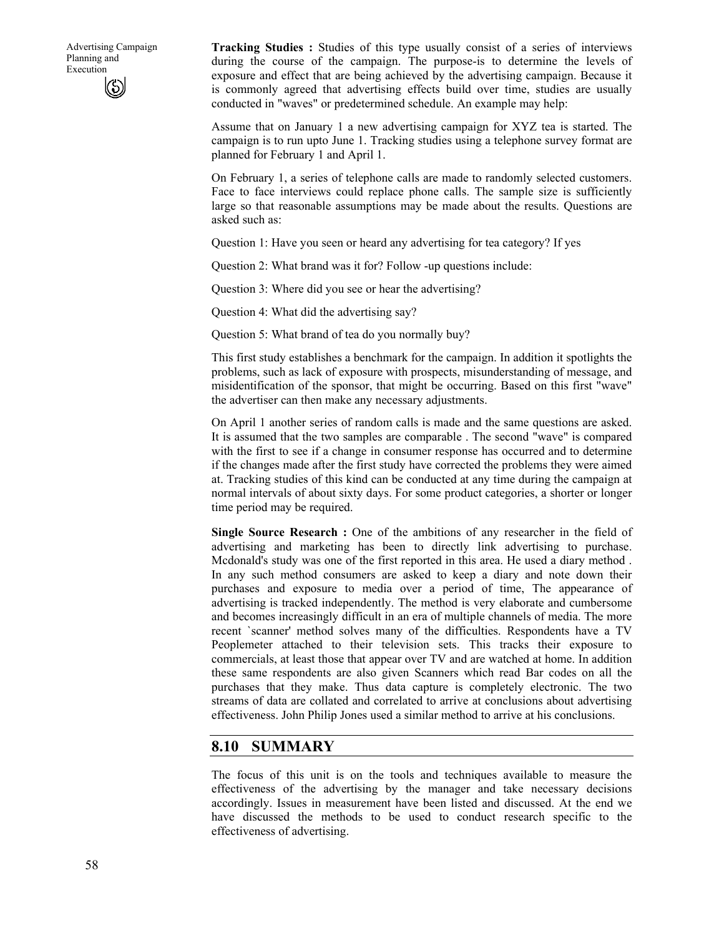**Tracking Studies :** Studies of this type usually consist of a series of interviews during the course of the campaign. The purpose-is to determine the levels of exposure and effect that are being achieved by the advertising campaign. Because it is commonly agreed that advertising effects build over time, studies are usually conducted in "waves" or predetermined schedule. An example may help:

Assume that on January 1 a new advertising campaign for XYZ tea is started. The campaign is to run upto June 1. Tracking studies using a telephone survey format are planned for February 1 and April 1.

On February 1, a series of telephone calls are made to randomly selected customers. Face to face interviews could replace phone calls. The sample size is sufficiently large so that reasonable assumptions may be made about the results. Questions are asked such as:

Question 1: Have you seen or heard any advertising for tea category? If yes

Question 2: What brand was it for? Follow -up questions include:

Question 3: Where did you see or hear the advertising?

Question 4: What did the advertising say?

Question 5: What brand of tea do you normally buy?

This first study establishes a benchmark for the campaign. In addition it spotlights the problems, such as lack of exposure with prospects, misunderstanding of message, and misidentification of the sponsor, that might be occurring. Based on this first "wave" the advertiser can then make any necessary adjustments.

On April 1 another series of random calls is made and the same questions are asked. It is assumed that the two samples are comparable . The second "wave" is compared with the first to see if a change in consumer response has occurred and to determine if the changes made after the first study have corrected the problems they were aimed at. Tracking studies of this kind can be conducted at any time during the campaign at normal intervals of about sixty days. For some product categories, a shorter or longer time period may be required.

**Single Source Research :** One of the ambitions of any researcher in the field of advertising and marketing has been to directly link advertising to purchase. Mcdonald's study was one of the first reported in this area. He used a diary method . In any such method consumers are asked to keep a diary and note down their purchases and exposure to media over a period of time, The appearance of advertising is tracked independently. The method is very elaborate and cumbersome and becomes increasingly difficult in an era of multiple channels of media. The more recent `scanner' method solves many of the difficulties. Respondents have a TV Peoplemeter attached to their television sets. This tracks their exposure to commercials, at least those that appear over TV and are watched at home. In addition these same respondents are also given Scanners which read Bar codes on all the purchases that they make. Thus data capture is completely electronic. The two streams of data are collated and correlated to arrive at conclusions about advertising effectiveness. John Philip Jones used a similar method to arrive at his conclusions.

#### **8.10 SUMMARY**

The focus of this unit is on the tools and techniques available to measure the effectiveness of the advertising by the manager and take necessary decisions accordingly. Issues in measurement have been listed and discussed. At the end we have discussed the methods to be used to conduct research specific to the effectiveness of advertising.